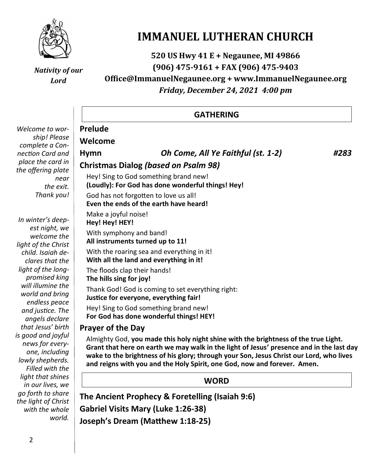

# **IMMANUEL LUTHERAN CHURCH**

**520 US Hwy 41 E + Negaunee, MI 49866 (906) 475-9161 + FAX (906) 475-9403**

*Nativity of our Lord*

# **Office@ImmanuelNegaunee.org + www.ImmanuelNegaunee.org** *Friday, December 24, 2021 4:00 pm*

|                                                                                                | <b>GATHERING</b>                                                                                                                                                                                                                                                                                                                                                                   |                                                                                             |      |  |  |
|------------------------------------------------------------------------------------------------|------------------------------------------------------------------------------------------------------------------------------------------------------------------------------------------------------------------------------------------------------------------------------------------------------------------------------------------------------------------------------------|---------------------------------------------------------------------------------------------|------|--|--|
| Welcome to wor-                                                                                | <b>Prelude</b>                                                                                                                                                                                                                                                                                                                                                                     |                                                                                             |      |  |  |
| ship! Please                                                                                   | Welcome                                                                                                                                                                                                                                                                                                                                                                            |                                                                                             |      |  |  |
| complete a Con-                                                                                |                                                                                                                                                                                                                                                                                                                                                                                    |                                                                                             |      |  |  |
| nection Card and                                                                               | <b>Hymn</b>                                                                                                                                                                                                                                                                                                                                                                        | Oh Come, All Ye Faithful (st. 1-2)                                                          | #283 |  |  |
| place the card in<br>the offering plate                                                        | <b>Christmas Dialog (based on Psalm 98)</b>                                                                                                                                                                                                                                                                                                                                        |                                                                                             |      |  |  |
| near<br>the exit.                                                                              | Hey! Sing to God something brand new!<br>(Loudly): For God has done wonderful things! Hey!                                                                                                                                                                                                                                                                                         |                                                                                             |      |  |  |
| Thank you!                                                                                     | God has not forgotten to love us all!<br>Even the ends of the earth have heard!                                                                                                                                                                                                                                                                                                    |                                                                                             |      |  |  |
| In winter's deep-<br>est night, we                                                             | Make a joyful noise!<br>Hey! Hey! HEY!                                                                                                                                                                                                                                                                                                                                             |                                                                                             |      |  |  |
| welcome the<br>light of the Christ                                                             | With symphony and band!<br>All instruments turned up to 11!                                                                                                                                                                                                                                                                                                                        |                                                                                             |      |  |  |
| child. Isaiah de-<br>clares that the                                                           |                                                                                                                                                                                                                                                                                                                                                                                    | With the roaring sea and everything in it!<br>With all the land and everything in it!       |      |  |  |
| light of the long-<br>promised king                                                            | The floods clap their hands!<br>The hills sing for joy!                                                                                                                                                                                                                                                                                                                            |                                                                                             |      |  |  |
| will illumine the<br>world and bring<br>endless peace                                          |                                                                                                                                                                                                                                                                                                                                                                                    | Thank God! God is coming to set everything right:<br>Justice for everyone, everything fair! |      |  |  |
| and justice. The<br>angels declare                                                             |                                                                                                                                                                                                                                                                                                                                                                                    | Hey! Sing to God something brand new!<br>For God has done wonderful things! HEY!            |      |  |  |
| that Jesus' birth                                                                              | <b>Prayer of the Day</b><br>Almighty God, you made this holy night shine with the brightness of the true Light.<br>Grant that here on earth we may walk in the light of Jesus' presence and in the last day<br>wake to the brightness of his glory; through your Son, Jesus Christ our Lord, who lives<br>and reigns with you and the Holy Spirit, one God, now and forever. Amen. |                                                                                             |      |  |  |
| is good and joyful<br>news for every-<br>one, including<br>lowly shepherds.<br>Filled with the |                                                                                                                                                                                                                                                                                                                                                                                    |                                                                                             |      |  |  |
| light that shines<br>in our lives, we                                                          | <b>WORD</b>                                                                                                                                                                                                                                                                                                                                                                        |                                                                                             |      |  |  |
| go forth to share<br>the light of Christ                                                       |                                                                                                                                                                                                                                                                                                                                                                                    | The Ancient Prophecy & Foretelling (Isaiah 9:6)                                             |      |  |  |
| with the whole                                                                                 |                                                                                                                                                                                                                                                                                                                                                                                    | <b>Gabriel Visits Mary (Luke 1:26-38)</b>                                                   |      |  |  |

**Joseph's Dream (Matthew 1:18-25)**

*world.*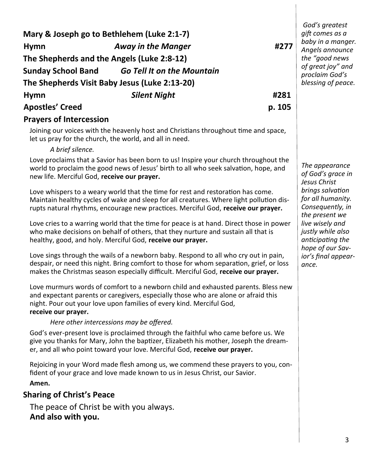| Mary & Joseph go to Bethlehem (Luke 2:1-7)<br><b>Hymn</b><br>The Shepherds and the Angels (Luke 2:8-12)<br><b>Sunday School Band</b>                                                                                                                                   | <b>Away in the Manger</b><br><b>Go Tell It on the Mountain</b><br>The Shepherds Visit Baby Jesus (Luke 2:13-20)                                                                                                                                                      | #277   | God's greatest<br>gift comes as a<br>baby in a manger.<br>Angels announce<br>the "good news<br>of great joy" and<br>proclaim God's<br>blessing of peace. |  |  |
|------------------------------------------------------------------------------------------------------------------------------------------------------------------------------------------------------------------------------------------------------------------------|----------------------------------------------------------------------------------------------------------------------------------------------------------------------------------------------------------------------------------------------------------------------|--------|----------------------------------------------------------------------------------------------------------------------------------------------------------|--|--|
| <b>Hymn</b>                                                                                                                                                                                                                                                            | <b>Silent Night</b>                                                                                                                                                                                                                                                  | #281   |                                                                                                                                                          |  |  |
| <b>Apostles' Creed</b>                                                                                                                                                                                                                                                 |                                                                                                                                                                                                                                                                      | p. 105 |                                                                                                                                                          |  |  |
| <b>Prayers of Intercession</b>                                                                                                                                                                                                                                         |                                                                                                                                                                                                                                                                      |        |                                                                                                                                                          |  |  |
| Joining our voices with the heavenly host and Christians throughout time and space,<br>let us pray for the church, the world, and all in need.<br>A brief silence.                                                                                                     |                                                                                                                                                                                                                                                                      |        |                                                                                                                                                          |  |  |
| Love proclaims that a Savior has been born to us! Inspire your church throughout the<br>world to proclaim the good news of Jesus' birth to all who seek salvation, hope, and<br>new life. Merciful God, receive our prayer.                                            | The appearance<br>of God's grace in<br>Jesus Christ<br>brings salvation<br>for all humanity.<br>Consequently, in<br>the present we<br>live wisely and<br>justly while also<br>anticipating the<br>hope of our Sav-                                                   |        |                                                                                                                                                          |  |  |
| Love whispers to a weary world that the time for rest and restoration has come.<br>Maintain healthy cycles of wake and sleep for all creatures. Where light pollution dis-<br>rupts natural rhythms, encourage new practices. Merciful God, receive our prayer.        |                                                                                                                                                                                                                                                                      |        |                                                                                                                                                          |  |  |
| Love cries to a warring world that the time for peace is at hand. Direct those in power<br>who make decisions on behalf of others, that they nurture and sustain all that is<br>healthy, good, and holy. Merciful God, receive our prayer.                             |                                                                                                                                                                                                                                                                      |        |                                                                                                                                                          |  |  |
|                                                                                                                                                                                                                                                                        | Love sings through the wails of a newborn baby. Respond to all who cry out in pain,<br>despair, or need this night. Bring comfort to those for whom separation, grief, or loss<br>makes the Christmas season especially difficult. Merciful God, receive our prayer. |        | ior's final appear-<br>ance.                                                                                                                             |  |  |
| Love murmurs words of comfort to a newborn child and exhausted parents. Bless new<br>and expectant parents or caregivers, especially those who are alone or afraid this<br>night. Pour out your love upon families of every kind. Merciful God,<br>receive our prayer. |                                                                                                                                                                                                                                                                      |        |                                                                                                                                                          |  |  |
|                                                                                                                                                                                                                                                                        | Here other intercessions may be offered.                                                                                                                                                                                                                             |        |                                                                                                                                                          |  |  |
|                                                                                                                                                                                                                                                                        | God's ever-present love is proclaimed through the faithful who came before us. We<br>give you thanks for Mary, John the baptizer, Elizabeth his mother, Joseph the dream-<br>er, and all who point toward your love. Merciful God, receive our prayer.               |        |                                                                                                                                                          |  |  |

Rejoicing in your Word made flesh among us, we commend these prayers to you, confident of your grace and love made known to us in Jesus Christ, our Savior. **Amen.**

# **Sharing of Christ's Peace**

The peace of Christ be with you always. **And also with you.**